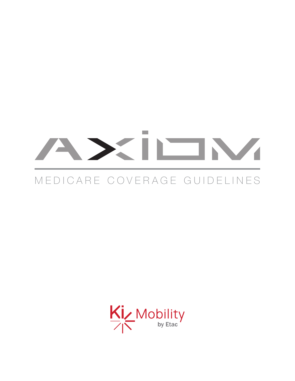## $\mathcal{L}^{\mathcal{L}}$

## MEDICARE COVERAGE GUIDELINES

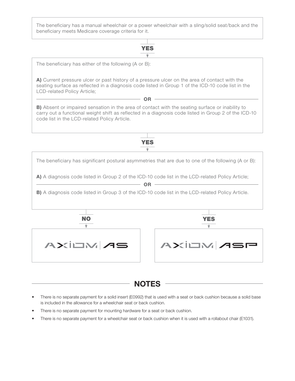The beneficiary has a manual wheelchair or a power wheelchair with a sling/solid seat/back and the beneficiary meets Medicare coverage criteria for it.



The beneficiary has either of the following (A or B):

A) Current pressure ulcer or past history of a pressure ulcer on the area of contact with the seating surface as reflected in a diagnosis code listed in Group 1 of the ICD-10 code list in the LCD-related Policy Article;

OR

B) Absent or impaired sensation in the area of contact with the seating surface or inability to carry out a functional weight shift as reflected in a diagnosis code listed in Group 2 of the ICD-10 code list in the LCD-related Policy Article.

YES



**NOTES** 

- There is no separate payment for a solid insert (E0992) that is used with a seat or back cushion because a solid base is included in the allowance for a wheelchair seat or back cushion.
- There is no separate payment for mounting hardware for a seat or back cushion.
- There is no separate payment for a wheelchair seat or back cushion when it is used with a rollabout chair (E1031).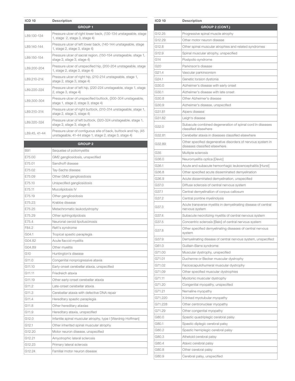| <b>ICD 10</b> | <b>Description</b>                                                                                                         |
|---------------|----------------------------------------------------------------------------------------------------------------------------|
|               | <b>GROUP1</b>                                                                                                              |
| L89.130-134   | Pressure ulcer of right lower back, (130-134 unstageable, stage<br>1, stage $2$ , stage 3, stage 4)                        |
| L89.140-144   | Pressure ulcer of left lower back, (140-144 unstageable, stage<br>1, stage 2, stage 3, stage 4)                            |
| L89.150-154   | Pressure ulcer of sacral region, (150-154 unstageable, stage 1,<br>stage 2, stage 3, stage 4)                              |
| L89.200-204   | Pressure ulcer of unspecified hip, (200-204 unstageable, stage<br>1, stage 2, stage 3, stage 4)                            |
| L89.210-214   | Pressure ulcer of right hip, (210-214 unstageable, stage 1,<br>stage 2, stage 3, stage 4)                                  |
| L89.220-224   | Pressure ulcer of left hip, (220-224 unstageable, stage 1, stage<br>2, stage 3, stage 4)                                   |
| L89.300-304   | Pressure ulcer of unspecified buttock, (300-304 unstageable,<br>stage 1, stage 2, stage 3, stage 4)                        |
| L89.310-314   | Pressure ulcer of right buttock, (310-314 unstageable, stage 1,<br>stage 2, stage 3, stage 4)                              |
| 189.320-324   | Pressure ulcer of left buttock, (320-324 unstageable, stage 1,<br>stage 2, stage 3, stage 4)                               |
| L89.45, 41-44 | Pressure ulcer of contiquous site of back, buttock and hip, (45)<br>unstageable, 41-44 stage 1, stage 2, stage 3, stage 4) |
|               | <b>GROUP 2</b>                                                                                                             |
| B91           | Sequelae of poliomyelitis                                                                                                  |
| E75.00        | GM2 gangliosidosis, unspecified                                                                                            |
| E75.01        | Sandhoff disease                                                                                                           |
| E75.02        | Tay-Sachs disease                                                                                                          |
| E75.09        | Other GM2 gangliosidosis                                                                                                   |
| E75.10        | Unspecified gangliosidosis                                                                                                 |
| E75.11        | Mucolipidosis IV                                                                                                           |
| E75.19        | Other gangliosidosis                                                                                                       |
| E75.23        | Krabbe disease                                                                                                             |
| F75.25        | Metachromatic leukodystrophy                                                                                               |
| E75.29        | Other sphingolipidosis                                                                                                     |
| E75.4         | Neuronal ceroid lipofuscinosis                                                                                             |
| F84.2         | Rett's syndrome                                                                                                            |
| G04.1         | Tropical spastic paraplegia                                                                                                |
| G04.82        | Acute flaccid myelitis                                                                                                     |
| G04.89        | Other myelitis                                                                                                             |
| G10           | Huntington's disease                                                                                                       |
| G11.0         | Congenital nonprogressive ataxia                                                                                           |
| G11.10        | Early-onset cerebellar ataxia, unspecified                                                                                 |
| G11.11        | Friedreich ataxia                                                                                                          |
| G11.19        | Other early-onset cerebellar ataxia                                                                                        |
| G11.2         | Late-onset cerebellar ataxia                                                                                               |
| G11.3         | Cerebellar ataxia with defective DNA repair                                                                                |
| G11.4         | Hereditary spastic paraplegia                                                                                              |
| G11.8         | Other hereditary ataxias                                                                                                   |
| G11.9         | Hereditary ataxia, unspecified                                                                                             |
| G12.0         | Infantile spinal muscular atrophy, type I [Werdnig-Hoffman]                                                                |
| G12.1         | Other inherited spinal muscular atrophy                                                                                    |
| G12.20        | Motor neuron disease, unspecified                                                                                          |
| G12.21        | Amyotrophic lateral sclerosis                                                                                              |
| G12.23        | Primary lateral sclerosis                                                                                                  |
| G12.24        | Familial motor neuron disease                                                                                              |

| <b>ICD 10</b> | <b>Description</b>                                                                           |
|---------------|----------------------------------------------------------------------------------------------|
|               | <b>GROUP 2 (CONT.)</b>                                                                       |
| G12.25        | Progressive spinal muscle atrophy                                                            |
| G12.29        | Other motor neuron disease                                                                   |
| G12.8         | Other spinal muscular atrophies and related syndromes                                        |
| G12.9         | Spinal muscular atrophy, unspecified                                                         |
| G14           | Postpolio syndrome                                                                           |
| G20           | Parkinson's disease                                                                          |
| G21.4         | Vascular parkinsonism                                                                        |
| G24.1         | Genetic torsion dystonia                                                                     |
| G30.0         | Alzheimer's disease with early onset                                                         |
| G30.1         | Alzheimer's disease with late onset                                                          |
| G30.8         | Other Alzheimer's disease                                                                    |
| G30.9         | Alzheimer's disease, unspecified                                                             |
| G31.81        | Alpers disease                                                                               |
| G31.82        | Leigh's disease                                                                              |
| G32.0         | Subacute combined degeneration of spinal cord in diseases<br>classified elsewhere            |
| G32.81        | Cerebellar ataxia in diseases classified elsewhere                                           |
| G32.89        | Other specified degenerative disorders of nervous system in<br>diseases classified elsewhere |
| G35           | Multiple sclerosis                                                                           |
| G36.0         | Neuromyelitis optica [Devic]                                                                 |
| G36.1         | Acute and subacute hemorrhagic leukoencephalitis [Hurst]                                     |
| G36.8         | Other specified acute disseminated demyelination                                             |
| G36.9         | Acute disseminated demyelination, unspecified                                                |
| G37.0         | Diffuse sclerosis of central nervous system                                                  |
| G37.1         | Central demyelination of corpus callosum                                                     |
| G37.2         | Central pontine myelinolysis                                                                 |
| G37.3         | Acute transverse myelitis in demyelinating disease of central<br>nervous system              |
| G37.4         | Subacute necrotizing myelitis of central nervous system                                      |
| G37.5         | Concentric sclerosis [Balo] of central nervous system                                        |
| G37.8         | Other specified demyelinating diseases of central nervous<br>svstem                          |
| G37.9         | Demyelinating disease of central nervous system, unspecified                                 |
| G61.0         | Guillain-Barre syndrome                                                                      |
| G71.00        | Muscular dystrophy, unspecified                                                              |
| G71.01        | Duchenne or Becker muscular dystrophy                                                        |
| G71.02        | Facioscapulohumeral muscular dystrophy                                                       |
| G71.09        | Other specified muscular dystrophies                                                         |
| G71.11        | Myotonic muscular dystrophy                                                                  |
| G71.20        | Congenital myopathy, unspecified                                                             |
| G71.21        | Nemaline myopathy                                                                            |
| G71.220       | X-linked myotubular myopathy                                                                 |
| G71.228       | Other centronuclear myopathy                                                                 |
| G71.29        | Other congenital myopathy                                                                    |
| G80.0         | Spastic quadriplegic cerebral palsy                                                          |
| G80.1         | Spastic diplegic cerebral palsy                                                              |
| G80.2         | Spastic hemiplegic cerebral palsy                                                            |
| G80.3         | Athetoid cerebral palsy                                                                      |
| G80.4         | Ataxic cerebral palsy                                                                        |
| G80.8         | Other cerebral palsy                                                                         |
| G80.9         | Cerebral palsy, unspecified                                                                  |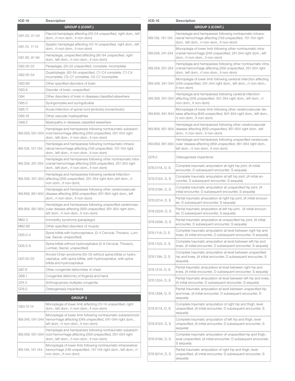| <b>ICD 10</b>    | <b>Description</b>                                                                                                                                                          |
|------------------|-----------------------------------------------------------------------------------------------------------------------------------------------------------------------------|
|                  | <b>GROUP 2 (CONT.)</b>                                                                                                                                                      |
| G81.00, 01-04    | Flaccid hemiplegia affecting (00-04 unspecified, right dom., left<br>dom., rt non-dom., It non-dom)                                                                         |
| G81.10, 11-14    | Spastic hemiplegia affecting (10-14 unspecified, right dom., left<br>dom., rt non-dom., It non-dom)                                                                         |
| G81.90, 91-94    | Hemiplegia, unspecified affecting (90-94 unspecified, right<br>dom., left dom., rt non-dom., It non-dom)                                                                    |
| G82.20-22        | Paraplegia, (20-22 unspecified, complete, incomplete)                                                                                                                       |
| G82.50-54        | Quadriplegia, (50-54 unspecified, C1-C4 complete, C1-C4<br>incomplete, C5-C7 complete, C5-C7 incomplete                                                                     |
| G93.89           | Other specified disorders of brain                                                                                                                                          |
| G93.9            | Disorder of brain, unspecified                                                                                                                                              |
| G94              | Other disorders of brain in diseases classified elsewhere                                                                                                                   |
| G95.0            | Syringomyelia and syringobulbia                                                                                                                                             |
| G95.11           | Acute infarction of spinal cord (embolic) (nonembolic)                                                                                                                      |
| G95.19           | Other vascular myelopathies                                                                                                                                                 |
| G99.2            | Myelopathy in diseases classified elsewhere                                                                                                                                 |
| 169.059, 051-054 | Hemiplegia and hemiparesis following nontraumatic subarach-<br>noid hemorrhage affecting (059 unspecified, 051-054 right<br>dom., left dom., rt non-dom., It non-dom)       |
| 169.159, 151-154 | Hemiplegia and hemiparesis following nontraumatic intrace-<br>rebral hemorrhage affecting (159 unspecified, 151-154 right<br>dom., left dom., rt non-dom., It non-dom)      |
| 169.259, 251-254 | Hemiplegia and hemiparesis following other nontraumatic intra-<br>cranial hemorrhage affecting (259 unspecified, 251-254 right<br>dom., left dom., rt non-dom., lt non-dom) |
| 169.359, 351-354 | Hemiplegia and hemiparesis following cerebral infarction<br>affecting (359 unspecified, 351-354 right dom., left dom., rt<br>non-dom., It non-dom)                          |
| 169.859, 851-854 | Hemiplegia and hemiparesis following other cerebrovascular<br>disease affecting (859 unspecified, 851-854 right dom., left<br>dom., rt non-dom., It non-dom)                |
| 169.959, 951-954 | Hemiplegia and hemiparesis following unspecified cerebrovas-<br>cular disease affecting (959 unspecified, 951-954 right dom.,<br>left dom., rt non-dom., It non-dom)        |
| M62.3            | Immobility syndrome (paraplegic)                                                                                                                                            |
| M62.89           | Other specified disorders of muscle                                                                                                                                         |
| Q05.0-4          | Spina bifida with hydrocephalus, (0-4 Cervical, Thoracic, Lum-<br>bar, Sacral, unspecified)                                                                                 |
| Q05.5-9          | Spina bifida without hydrocephalus (5-9 Cervical, Thoracic,<br>Lumbar, Sacral, unspecified)                                                                                 |
| Q07.00-03        | Arnold-Chiari syndrome (00-03 without spina bifida or hydro-<br>cephalus, with spina bifida, with hydrocephalus, with spina<br>bifida and hydrocephalus                     |
| Q67.8            | Other congenital deformities of chest                                                                                                                                       |
| Q68.1            | Congenital deformity of finger(s) and hand                                                                                                                                  |
| Q74.3            | Arthrogryposis multiplex congenita                                                                                                                                          |
| Q78.0            | Osteogenesis imperfecta                                                                                                                                                     |
|                  | <b>GROUP3</b>                                                                                                                                                               |
| G83.10-14        | Monoplegia of lower limb affecting (10-14 unspecified, right<br>dom., left dom., rt non-dom., It non-dom)                                                                   |
| 169.049, 041-044 | Monoplegia of lower limb following nontraumatic subarachnoid<br>hemorrhage affecting (049 unspecified, 041-044 right dom.,<br>left dom., rt non-dom., It non-dom)           |
| 169.059, 051-054 | Hemiplegia and hemiparesis following nontraumatic subarach-<br>noid hemorrhage affecting (059 unspecified, 051-054 right<br>dom., left dom., rt non-dom., lt non-dom)       |
| 169.149, 141-144 | Monoplegia of lower limb following nontraumatic intracerebral<br>hemorrhage (149 unspecified, 141-144 right dom., left dom., rt<br>non-dom., It non-dom)                    |

| <b>ICD 10</b>    | <b>Description</b>                                                                                                                                                          |
|------------------|-----------------------------------------------------------------------------------------------------------------------------------------------------------------------------|
|                  | <b>GROUP 3 (CONT.)</b>                                                                                                                                                      |
| 169.159, 151-154 | Hemiplegia and hemiparesis following nontraumatic intrace-<br>rebral hemorrhage affecting (159 unspecified, 151-154 right<br>dom., left dom., rt non-dom., It non-dom)      |
| 169.249, 241-244 | Monoplegia of lower limb following other nontraumatic intra-<br>cranial hemorrhage (249 unspecified, 241-244 right dom., left<br>dom., rt non-dom., It non-dom)             |
| 169.259, 251-254 | Hemiplegia and hemiparesis following other nontraumatic intra-<br>cranial hemorrhage affecting (259 unspecified, 251-254 right<br>dom., left dom., rt non-dom., It non-dom) |
| 169.349, 341-344 | Monoplegia of lower limb following cerebral infarction affecting<br>(349 unspecified, 341-344 right dom., left dom., rt non-dom.,<br>It non-dom)                            |
| 169.359, 351-354 | Hemiplegia and hemiparesis following cerebral infarction<br>affecting (359 unspecified, 351-354 right dom., left dom., rt<br>non-dom., It non-dom)                          |
| 169.849, 841-844 | Monoplegia of lower limb following other cerebrovascular dis-<br>ease affecting (849 unspecified, 841-844 right dom., left dom.,<br>rt non-dom., It non-dom)                |
| 169.859, 851-854 | Hemiplegia and hemiparesis following other cerebrovascular<br>disease affecting (859 unspecified, 851-854 right dom., left<br>dom., rt non-dom., It non-dom)                |
| 169.959, 951-954 | Hemiplegia and hemiparesis following unspecified cerebrovas-<br>cular disease affecting (959 unspecified, 951-954 right dom.,<br>left dom., rt non-dom., It non-dom)        |
| Q78.0            | Osteogenesis imperfecta                                                                                                                                                     |
| S78.011A, D, S   | Complete traumatic amputation at right hip joint, (A initial<br>encounter, D subsequent encounter, S sequela)                                                               |
| S78.012A, D, S   | Complete traumatic amputation at left hip joint, (A initial en-<br>counter, D subsequent encounter, S sequela)                                                              |
| S78.019A, D, S   | Complete traumatic amputation at unspecified hip joint, (A<br>initial encounter, D subsequent encounter, S sequela)                                                         |
| S78.021A, D, S   | Partial traumatic amputation at right hip joint, (A initial encoun-<br>ter, D subsequent encounter, S sequela)                                                              |
| S78.022A, D, S   | Partial traumatic amputation at left hip joint, (A initial encoun-<br>ter, D subsequent encounter, S sequela)                                                               |
| S78.029A, D, S   | Partial traumatic amputation at unspecified hip joint, (A initial<br>encounter, D subsequent encounter, S sequela)                                                          |
| S78.111A, D, S   | Complete traumatic amputation at level between right hip and<br>knee, (A initial encounter, D subsequent encounter, S sequela)                                              |
| S78.112A, D, S   | Complete traumatic amputation at level between left hip and<br>knee, (A initial encounter, D subsequent encounter, S sequela)                                               |
| S78.119A, D, S   | Complete traumatic amputation at level between unspecified<br>hip and knee, (A initial encounter, D subsequent encounter, S<br>sequela)                                     |
| S78.121A, D, S   | Partial traumatic amputation at level between right hip and<br>knee, (A initial encounter, D subsequent encounter, S sequela)                                               |
| S78.122A, D, S   | Partial traumatic amputation at level between left hip and knee,<br>(A initial encounter, D subsequent encounter, S sequela)                                                |
| S78.129A, D, S   | Partial traumatic amputation at level between unspecified hip<br>and knee, (A initial encounter, D subsequent encounter, S<br>sequela)                                      |
| S78.911A, D, S   | Complete traumatic amputation of right hip and thigh, level<br>unspecified, (A initial encounter, D subsequent encounter, S<br>sequela)                                     |
| S78.912A, D, S   | Complete traumatic amputation of left hip and thigh, level<br>unspecified, (A initial encounter, D subsequent encounter, S<br>sequela)                                      |
| S78.919A, D, S   | Complete traumatic amputation of unspecified hip and thigh,<br>level unspecified, (A initial encounter, D subsequent encounter,<br>S sequela)                               |
| S78.921A, D, S   | Partial traumatic amputation of right hip and thigh, level<br>unspecified, (A initial encounter, D subsequent encounter, S<br>sequela)                                      |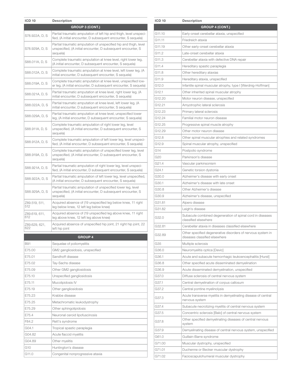| <b>ICD 10</b>        | <b>Description</b>                                                                                                                           |
|----------------------|----------------------------------------------------------------------------------------------------------------------------------------------|
|                      | <b>GROUP 3 (CONT.)</b>                                                                                                                       |
| S78.922A, D, S       | Partial traumatic amputation of left hip and thigh, level unspeci-<br>fied, (A initial encounter, D subsequent encounter, S sequela)         |
| S78.929A, D, S       | Partial traumatic amputation of unspecified hip and thigh, level<br>unspecified, (A initial encounter, D subsequent encounter, S<br>sequela) |
| S88.011A, D, S       | Complete traumatic amputation at knee level, right lower leg,<br>(A initial encounter, D subsequent encounter, S sequela)                    |
| S88.012A, D, S       | Complete traumatic amputation at knee level, left lower leg, (A<br>initial encounter, D subsequent encounter, S sequela)                     |
| S88.019A, D, S       | Complete traumatic amputation at knee level, unspecified low-<br>er leg, (A initial encounter, D subsequent encounter, S sequela)            |
| S88.021A, D, S       | Partial traumatic amputation at knee level, right lower leg, (A<br>initial encounter, D subsequent encounter, S sequela)                     |
| S88.022A, D, S       | Partial traumatic amputation at knee level, left lower leg, (A<br>initial encounter, D subsequent encounter, S sequela)                      |
| S88.029A, D, S       | Partial traumatic amputation at knee level, unspecified lower<br>leg, (A initial encounter, D subsequent encounter, S sequela)               |
| S88.911A, D, S       | Complete traumatic amputation of right lower leg, level<br>unspecified, (A initial encounter, D subsequent encounter, S<br>sequela)          |
| S88.912A, D, S       | Complete traumatic amputation of left lower leg, level unspeci-<br>fied, (A initial encounter, D subsequent encounter, S sequela)            |
| S88.919A, D, S       | Complete traumatic amputation of unspecified lower leg, level<br>unspecified, (A initial encounter, D subsequent encounter, S<br>sequela)    |
| S88.921A, D, S       | Partial traumatic amputation of right lower leg, level unspeci-<br>fied, (A initial encounter, D subsequent encounter, S sequela)            |
| S88.922A, D, S       | Partial traumatic amputation of left lower leg, level unspecified,<br>(A initial encounter, D subsequent encounter, S sequela)               |
| S88.929A, D, S       | Partial traumatic amputation of unspecified lower leg, level<br>unspecified, (A initial encounter, D subsequent encounter, S<br>sequela)     |
| Z89.519, 511,<br>512 | Acquired absence of (19 unspecified leg below knee, 11 right<br>leg below knee, 12 left leg below knee)                                      |
| Z89.619, 611,<br>612 | Acquired absence of (19 unspecified leg above knee, 11 right<br>leg above knee, 12 left leg above knee)                                      |
| Z89.629, 621,<br>622 | Acquired absence of unspecified hip joint, 21 right hip joint, 22<br>left hip joint                                                          |
|                      | <b>GROUP 4</b>                                                                                                                               |
| <b>B91</b>           | Sequelae of poliomyelitis                                                                                                                    |
| E75.00               | GM2 gangliosidosis, unspecified                                                                                                              |
| E75.01               | Sandhoff disease                                                                                                                             |
| E75.02               | Tay-Sachs disease                                                                                                                            |
| E75.09               | Other GM2 gangliosidosis                                                                                                                     |
| E75.10               | Unspecified gangliosidosis                                                                                                                   |
|                      |                                                                                                                                              |
| E75.11               | Mucolipidosis IV                                                                                                                             |
| E75.19               | Other gangliosidosis                                                                                                                         |
| E75.23               | Krabbe disease                                                                                                                               |
| E75.25               | Metachromatic leukodystrophy                                                                                                                 |
| E75.29               | Other sphingolipidosis                                                                                                                       |
| E75.4                | Neuronal ceroid lipofuscinosis                                                                                                               |
| F84.2                | Rett's syndrome                                                                                                                              |
| G04.1                | Tropical spastic paraplegia                                                                                                                  |
| G04.82               | Acute flaccid myelitis                                                                                                                       |
| G04.89               | Other myelitis                                                                                                                               |
| G10                  | Huntington's disease                                                                                                                         |
| G11.0                | Congenital nonprogressive ataxia                                                                                                             |

| <b>ICD 10</b> | <b>Description</b>                                                                           |
|---------------|----------------------------------------------------------------------------------------------|
|               | <b>GROUP 4 (CONT.)</b>                                                                       |
| G11.10        | Early-onset cerebellar ataxia, unspecified                                                   |
| G11.11        | Friedreich ataxia                                                                            |
| G11.19        | Other early-onset cerebellar ataxia                                                          |
| G11.2         | Late-onset cerebellar ataxia                                                                 |
| G11.3         | Cerebellar ataxia with defective DNA repair                                                  |
| G11.4         | Hereditary spastic paraplegia                                                                |
| G11.8         | Other hereditary ataxias                                                                     |
| G11.9         | Hereditary ataxia, unspecified                                                               |
| G12.0         | Infantile spinal muscular atrophy, type I [Werdnig-Hoffman]                                  |
| G12.1         | Other inherited spinal muscular atrophy                                                      |
| G12.20        | Motor neuron disease, unspecified                                                            |
| G12.21        | Amyotrophic lateral sclerosis                                                                |
| G12.23        | Primary lateral sclerosis                                                                    |
| G12.24        | Familial motor neuron disease                                                                |
| G12.25        | Progressive spinal muscle atrophy                                                            |
| G12.29        | Other motor neuron disease                                                                   |
| G12.8         | Other spinal muscular atrophies and related syndromes                                        |
| G12.9         | Spinal muscular atrophy, unspecified                                                         |
| G14           | Postpolio syndrome                                                                           |
| G20           | Parkinson's disease                                                                          |
| G21.4         | Vascular parkinsonism                                                                        |
| G24.1         | Genetic torsion dystonia                                                                     |
| G30.0         | Alzheimer's disease with early onset                                                         |
| G30.1         | Alzheimer's disease with late onset                                                          |
| G30.8         | Other Alzheimer's disease                                                                    |
| G30.9         | Alzheimer's disease, unspecified                                                             |
| G31.81        | Alpers disease                                                                               |
| G31.82        | Leigh's disease                                                                              |
| G32.0         | Subacute combined degeneration of spinal cord in diseases<br>classified elsewhere            |
| G32.81        | Cerebellar ataxia in diseases classified elsewhere                                           |
| G32.89        | Other specified degenerative disorders of nervous system in<br>diseases classified elsewhere |
| G35           | Multiple sclerosis                                                                           |
| G36.0         | Neuromyelitis optica [Devic]                                                                 |
| G36.1         | Acute and subacute hemorrhagic leukoencephalitis [Hurst]                                     |
| G36.8         | Other specified acute disseminated demyelination                                             |
| G36.9         | Acute disseminated demyelination, unspecified                                                |
| G37.0         | Diffuse sclerosis of central nervous system                                                  |
| G37.1         | Central demyelination of corpus callosum                                                     |
| G37.2         | Central pontine myelinolysis                                                                 |
| G37.3         | Acute transverse myelitis in demyelinating disease of central<br>nervous system              |
| G37.4         | Subacute necrotizing myelitis of central nervous system                                      |
| G37.5         | Concentric sclerosis [Balo] of central nervous system                                        |
| G37.8         | Other specified demyelinating diseases of central nervous<br>system                          |
| G37.9         | Demyelinating disease of central nervous system, unspecified                                 |
| G61.0         | Guillain-Barre syndrome                                                                      |
| G71.00        | Muscular dystrophy, unspecified                                                              |
| G71.01        | Duchenne or Becker muscular dystrophy                                                        |
| G71.02        | Facioscapulohumeral muscular dystrophy                                                       |